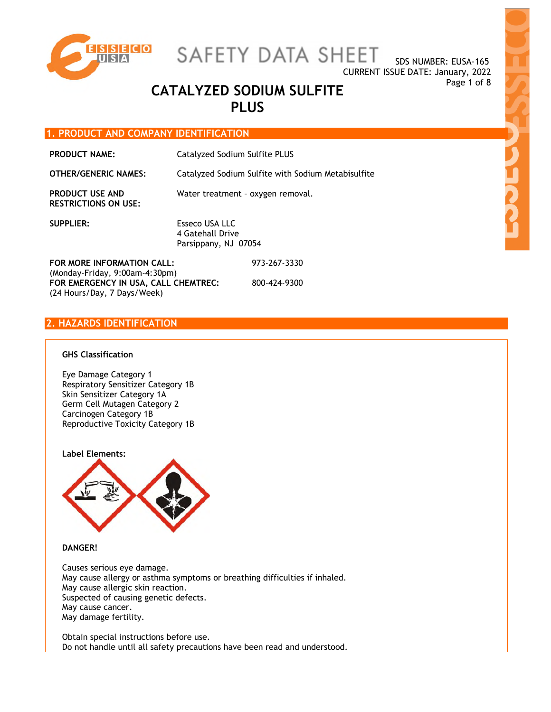

SAFETY DATA SHEET

# Page 1 of 8 **CATALYZED SODIUM SULFITE PLUS**

# **1. PRODUCT AND COMPANY IDENTIFICATION**

| <b>PRODUCT NAME:</b>                                         | Catalyzed Sodium Sulfite PLUS<br>Catalyzed Sodium Sulfite with Sodium Metabisulfite |              |
|--------------------------------------------------------------|-------------------------------------------------------------------------------------|--------------|
| <b>OTHER/GENERIC NAMES:</b>                                  |                                                                                     |              |
| <b>PRODUCT USE AND</b><br><b>RESTRICTIONS ON USE:</b>        | Water treatment - oxygen removal.                                                   |              |
| <b>SUPPLIER:</b>                                             | Esseco USA LLC<br>4 Gatehall Drive<br>Parsippany, NJ 07054                          |              |
| FOR MORE INFORMATION CALL:<br>(Monday-Friday, 9:00am-4:30pm) |                                                                                     | 973-267-3330 |
| FOR EMERGENCY IN USA, CALL CHEMTREC:                         |                                                                                     | 800-424-9300 |

**2. HAZARDS IDENTIFICATION** 

(24 Hours/Day, 7 Days/Week)

# **GHS Classification**

Eye Damage Category 1 Respiratory Sensitizer Category 1B Skin Sensitizer Category 1A Germ Cell Mutagen Category 2 Carcinogen Category 1B Reproductive Toxicity Category 1B



# **DANGER!**

Causes serious eye damage. May cause allergy or asthma symptoms or breathing difficulties if inhaled. May cause allergic skin reaction. Suspected of causing genetic defects. May cause cancer. May damage fertility.

Obtain special instructions before use. Do not handle until all safety precautions have been read and understood.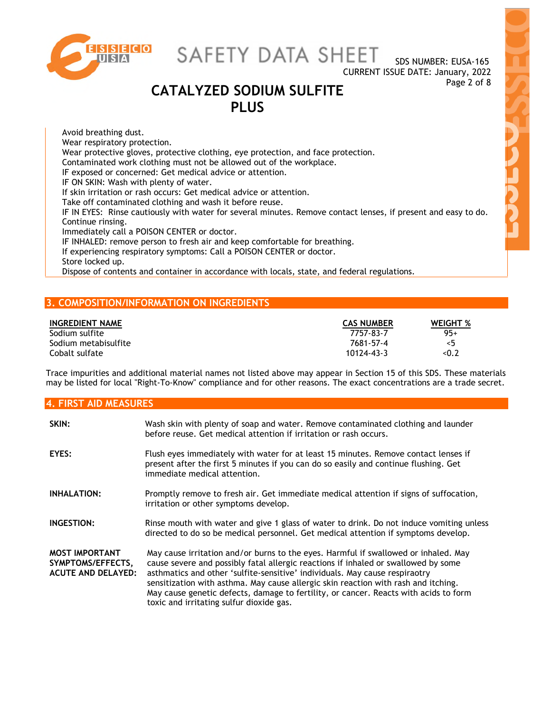

SAFETY DATA SHEET

CURRENT ISSUE DATE: January, 2022

SDS NUMBER: EUSA-165

# Page 2 of 8 **CATALYZED SODIUM SULFITE PLUS**

Avoid breathing dust. Wear respiratory protection. Wear protective gloves, protective clothing, eye protection, and face protection. Contaminated work clothing must not be allowed out of the workplace. IF exposed or concerned: Get medical advice or attention. IF ON SKIN: Wash with plenty of water. If skin irritation or rash occurs: Get medical advice or attention. Take off contaminated clothing and wash it before reuse. IF IN EYES: Rinse cautiously with water for several minutes. Remove contact lenses, if present and easy to do. Continue rinsing. Immediately call a POISON CENTER or doctor. IF INHALED: remove person to fresh air and keep comfortable for breathing. If experiencing respiratory symptoms: Call a POISON CENTER or doctor. Store locked up. Dispose of contents and container in accordance with locals, state, and federal regulations.

# **3. COMPOSITION/INFORMATION ON INGREDIENTS**

| <b>INGREDIENT NAME</b> | <b>CAS NUMBER</b> | <b>WEIGHT %</b> |
|------------------------|-------------------|-----------------|
| Sodium sulfite         | 7757-83-7         | $95+$           |
| Sodium metabisulfite   | 7681-57-4         | <5              |
| Cobalt sulfate         | 10124-43-3        | < 0.2           |

Trace impurities and additional material names not listed above may appear in Section 15 of this SDS. These materials may be listed for local "Right-To-Know" compliance and for other reasons. The exact concentrations are a trade secret.

| <b>4. FIRST AID MEASURES</b>                                            |                                                                                                                                                                                                                                                                                                                                                                                                                                                                                    |  |  |
|-------------------------------------------------------------------------|------------------------------------------------------------------------------------------------------------------------------------------------------------------------------------------------------------------------------------------------------------------------------------------------------------------------------------------------------------------------------------------------------------------------------------------------------------------------------------|--|--|
| SKIN:                                                                   | Wash skin with plenty of soap and water. Remove contaminated clothing and launder<br>before reuse. Get medical attention if irritation or rash occurs.                                                                                                                                                                                                                                                                                                                             |  |  |
| EYES:                                                                   | Flush eyes immediately with water for at least 15 minutes. Remove contact lenses if<br>present after the first 5 minutes if you can do so easily and continue flushing. Get<br>immediate medical attention.                                                                                                                                                                                                                                                                        |  |  |
| <b>INHALATION:</b>                                                      | Promptly remove to fresh air. Get immediate medical attention if signs of suffocation,<br>irritation or other symptoms develop.                                                                                                                                                                                                                                                                                                                                                    |  |  |
| INGESTION:                                                              | Rinse mouth with water and give 1 glass of water to drink. Do not induce vomiting unless<br>directed to do so be medical personnel. Get medical attention if symptoms develop.                                                                                                                                                                                                                                                                                                     |  |  |
| <b>MOST IMPORTANT</b><br>SYMPTOMS/EFFECTS,<br><b>ACUTE AND DELAYED:</b> | May cause irritation and/or burns to the eyes. Harmful if swallowed or inhaled. May<br>cause severe and possibly fatal allergic reactions if inhaled or swallowed by some<br>asthmatics and other 'sulfite-sensitive' individuals. May cause respiraotry<br>sensitization with asthma. May cause allergic skin reaction with rash and itching.<br>May cause genetic defects, damage to fertility, or cancer. Reacts with acids to form<br>toxic and irritating sulfur dioxide gas. |  |  |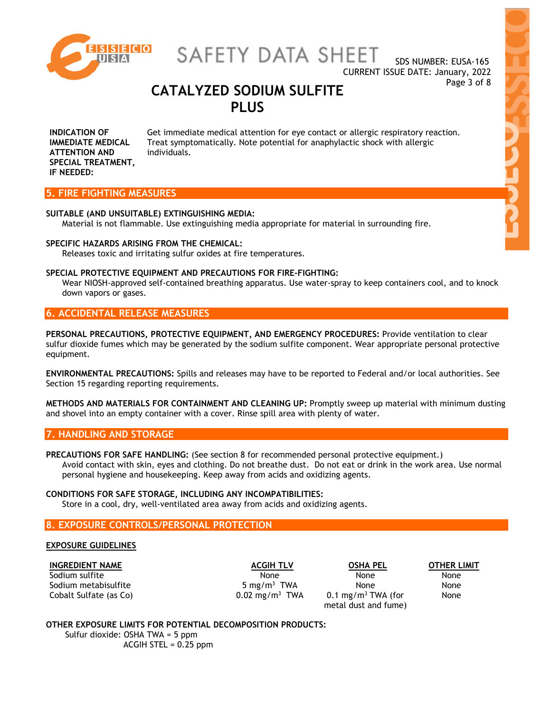

SAFETY DATA SHEET

# Page 3 of 8 **CATALYZED SODIUM SULFITE PLUS**

**INDICATION OF IMMEDIATE MEDICAL ATTENTION AND SPECIAL TREATMENT, IF NEEDED:** Get immediate medical attention for eye contact or allergic respiratory reaction. Treat symptomatically. Note potential for anaphylactic shock with allergic individuals.

# **5. FIRE FIGHTING MEASURES**

### **SUITABLE (AND UNSUITABLE) EXTINGUISHING MEDIA:**

Material is not flammable. Use extinguishing media appropriate for material in surrounding fire.

## **SPECIFIC HAZARDS ARISING FROM THE CHEMICAL:**

Releases toxic and irritating sulfur oxides at fire temperatures.

### **SPECIAL PROTECTIVE EQUIPMENT AND PRECAUTIONS FOR FIRE-FIGHTING:**

Wear NIOSH-approved self-contained breathing apparatus. Use water-spray to keep containers cool, and to knock down vapors or gases.

# **6. ACCIDENTAL RELEASE MEASURES**

**PERSONAL PRECAUTIONS, PROTECTIVE EQUIPMENT, AND EMERGENCY PROCEDURES:** Provide ventilation to clear sulfur dioxide fumes which may be generated by the sodium sulfite component. Wear appropriate personal protective equipment.

**ENVIRONMENTAL PRECAUTIONS:** Spills and releases may have to be reported to Federal and/or local authorities. See Section 15 regarding reporting requirements.

**METHODS AND MATERIALS FOR CONTAINMENT AND CLEANING UP:** Promptly sweep up material with minimum dusting and shovel into an empty container with a cover. Rinse spill area with plenty of water.

# **7. HANDLING AND STORAGE**

**PRECAUTIONS FOR SAFE HANDLING:** (See section 8 for recommended personal protective equipment.) Avoid contact with skin, eyes and clothing. Do not breathe dust. Do not eat or drink in the work area. Use normal personal hygiene and housekeeping. Keep away from acids and oxidizing agents.

# **CONDITIONS FOR SAFE STORAGE, INCLUDING ANY INCOMPATIBILITIES:**

Store in a cool, dry, well-ventilated area away from acids and oxidizing agents.

# **8. EXPOSURE CONTROLS/PERSONAL PROTECTION**

### **EXPOSURE GUIDELINES**

**INGREDIENT NAME ACGIH TLV OSHA PEL OTHER LIMIT** Sodium sulfite None None None Sodium metabisulfite Cobalt Sulfate (as  $Co$ )  $O.02 \text{ mg/m}^3$  TWA

5 mg/m<sup>3</sup> TWA None None  $0.1$  mg/m<sup>3</sup> TWA (for metal dust and fume)

None

# **OTHER EXPOSURE LIMITS FOR POTENTIAL DECOMPOSITION PRODUCTS:**

Sulfur dioxide: OSHA TWA = 5 ppm ACGIH STEL  $= 0.25$  ppm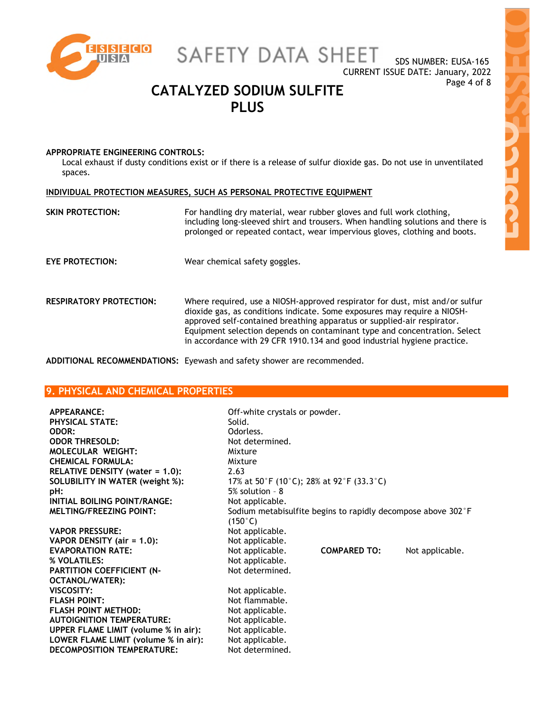

SAFETY DATA SHEET

# Page 4 of 8 **CATALYZED SODIUM SULFITE PLUS**

## **APPROPRIATE ENGINEERING CONTROLS:**

Local exhaust if dusty conditions exist or if there is a release of sulfur dioxide gas. Do not use in unventilated spaces.

# **INDIVIDUAL PROTECTION MEASURES, SUCH AS PERSONAL PROTECTIVE EQUIPMENT**

| <b>SKIN PROTECTION:</b> | For handling dry material, wear rubber gloves and full work clothing,<br>including long-sleeved shirt and trousers. When handling solutions and there is<br>prolonged or repeated contact, wear impervious gloves, clothing and boots.                                                                                                                                                       |
|-------------------------|----------------------------------------------------------------------------------------------------------------------------------------------------------------------------------------------------------------------------------------------------------------------------------------------------------------------------------------------------------------------------------------------|
| <b>EYE PROTECTION:</b>  | Wear chemical safety goggles.                                                                                                                                                                                                                                                                                                                                                                |
| RESPIRATORY PROTECTION: | Where required, use a NIOSH-approved respirator for dust, mist and/or sulfur<br>dioxide gas, as conditions indicate. Some exposures may require a NIOSH-<br>approved self-contained breathing apparatus or supplied-air respirator.<br>Equipment selection depends on contaminant type and concentration. Select<br>in accordance with 29 CFR 1910.134 and good industrial hygiene practice. |

**ADDITIONAL RECOMMENDATIONS:** Eyewash and safety shower are recommended.

# **9. PHYSICAL AND CHEMICAL PROPERTIES**

| APPEARANCE:                                 | Off-white crystals or powder. |                                                              |                 |
|---------------------------------------------|-------------------------------|--------------------------------------------------------------|-----------------|
| <b>PHYSICAL STATE:</b>                      | Solid.                        |                                                              |                 |
| ODOR:                                       | Odorless.                     |                                                              |                 |
| <b>ODOR THRESOLD:</b>                       | Not determined.               |                                                              |                 |
| <b>MOLECULAR WEIGHT:</b>                    | Mixture                       |                                                              |                 |
| <b>CHEMICAL FORMULA:</b>                    | Mixture                       |                                                              |                 |
| RELATIVE DENSITY (water = 1.0):             | 2.63                          |                                                              |                 |
| SOLUBILITY IN WATER (weight %):             |                               | 17% at 50°F (10°C); 28% at 92°F (33.3°C)                     |                 |
| pH:                                         | $5\%$ solution - $8$          |                                                              |                 |
| INITIAL BOILING POINT/RANGE:                | Not applicable.               |                                                              |                 |
| <b>MELTING/FREEZING POINT:</b>              |                               | Sodium metabisulfite begins to rapidly decompose above 302°F |                 |
|                                             | $(150^{\circ}C)$              |                                                              |                 |
| <b>VAPOR PRESSURE:</b>                      | Not applicable.               |                                                              |                 |
| VAPOR DENSITY (air = 1.0):                  | Not applicable.               |                                                              |                 |
| <b>EVAPORATION RATE:</b>                    | Not applicable.               | <b>COMPARED TO:</b>                                          | Not applicable. |
| % VOLATILES:                                | Not applicable.               |                                                              |                 |
| PARTITION COEFFICIENT (N-                   | Not determined.               |                                                              |                 |
| <b>OCTANOL/WATER):</b>                      |                               |                                                              |                 |
| VISCOSITY:                                  | Not applicable.               |                                                              |                 |
| <b>FLASH POINT:</b>                         | Not flammable.                |                                                              |                 |
| <b>FLASH POINT METHOD:</b>                  | Not applicable.               |                                                              |                 |
| <b>AUTOIGNITION TEMPERATURE:</b>            | Not applicable.               |                                                              |                 |
| <b>UPPER FLAME LIMIT (volume % in air):</b> | Not applicable.               |                                                              |                 |
| LOWER FLAME LIMIT (volume % in air):        | Not applicable.               |                                                              |                 |
| <b>DECOMPOSITION TEMPERATURE:</b>           | Not determined.               |                                                              |                 |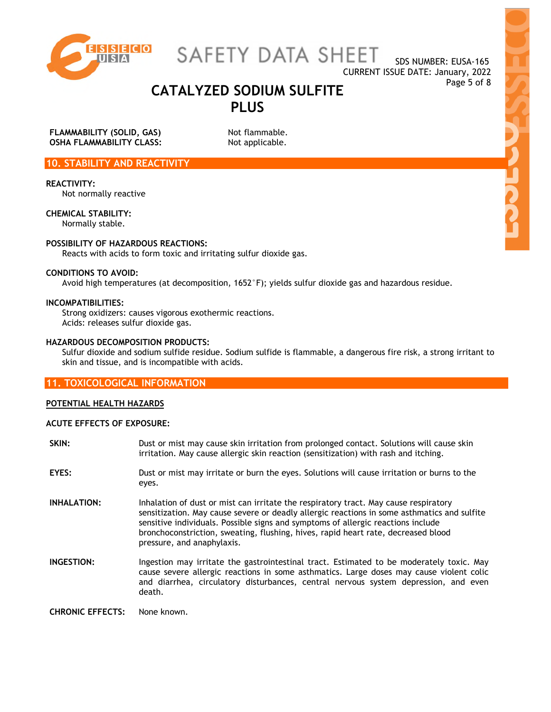

SAFETY DATA SHEET

# Page 5 of 8 **CATALYZED SODIUM SULFITE PLUS**

**FLAMMABILITY (SOLID, GAS)** Not flammable. **OSHA FLAMMABILITY CLASS:** Not applicable.

# **10. STABILITY AND REACTIVITY**

**REACTIVITY:** 

Not normally reactive

**CHEMICAL STABILITY:** 

Normally stable.

# **POSSIBILITY OF HAZARDOUS REACTIONS:**

Reacts with acids to form toxic and irritating sulfur dioxide gas.

# **CONDITIONS TO AVOID:**

Avoid high temperatures (at decomposition, 1652°F); yields sulfur dioxide gas and hazardous residue.

## **INCOMPATIBILITIES:**

Strong oxidizers: causes vigorous exothermic reactions. Acids: releases sulfur dioxide gas.

# **HAZARDOUS DECOMPOSITION PRODUCTS:**

Sulfur dioxide and sodium sulfide residue. Sodium sulfide is flammable, a dangerous fire risk, a strong irritant to skin and tissue, and is incompatible with acids.

# **11. TOXICOLOGICAL INFORMATION**

# **POTENTIAL HEALTH HAZARDS**

### **ACUTE EFFECTS OF EXPOSURE:**

| SKIN:              | Dust or mist may cause skin irritation from prolonged contact. Solutions will cause skin<br>irritation. May cause allergic skin reaction (sensitization) with rash and itching.                                                                                                                                                                                                            |
|--------------------|--------------------------------------------------------------------------------------------------------------------------------------------------------------------------------------------------------------------------------------------------------------------------------------------------------------------------------------------------------------------------------------------|
| EYES:              | Dust or mist may irritate or burn the eyes. Solutions will cause irritation or burns to the<br>eyes.                                                                                                                                                                                                                                                                                       |
| <b>INHALATION:</b> | Inhalation of dust or mist can irritate the respiratory tract. May cause respiratory<br>sensitization. May cause severe or deadly allergic reactions in some asthmatics and sulfite<br>sensitive individuals. Possible signs and symptoms of allergic reactions include<br>bronchoconstriction, sweating, flushing, hives, rapid heart rate, decreased blood<br>pressure, and anaphylaxis. |
| INGESTION:         | Ingestion may irritate the gastrointestinal tract. Estimated to be moderately toxic. May<br>cause severe allergic reactions in some asthmatics. Large doses may cause violent colic<br>and diarrhea, circulatory disturbances, central nervous system depression, and even<br>death.                                                                                                       |
|                    |                                                                                                                                                                                                                                                                                                                                                                                            |

**CHRONIC EFFECTS:** None known.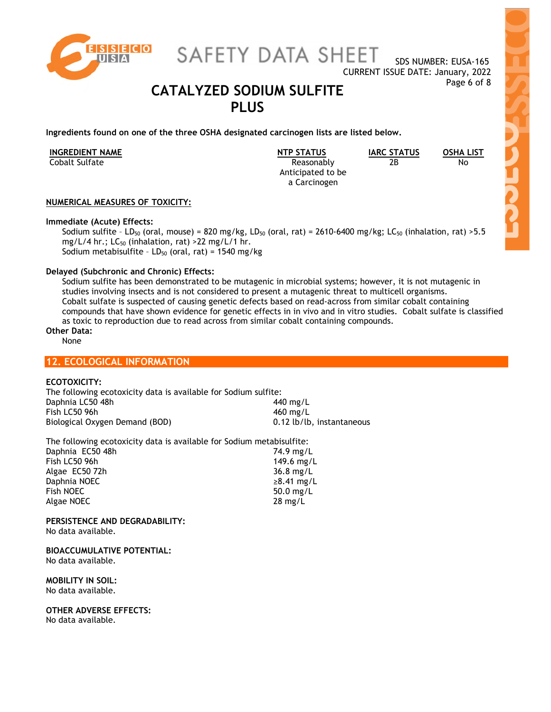

SAFETY DATA SHEET

# Page 6 of 8 **CATALYZED SODIUM SULFITE PLUS**

**Ingredients found on one of the three OSHA designated carcinogen lists are listed below.** 

| <b>INGREDIENT NAME</b> | <b>NTP STATUS</b>                 | <b>IARC STATUS</b> | <b>OSHA LIST</b> |
|------------------------|-----------------------------------|--------------------|------------------|
| Cobalt Sulfate         | Reasonably                        | 2В                 | No               |
|                        | Anticipated to be<br>a Carcinogen |                    |                  |
|                        |                                   |                    |                  |

 $\overline{N_{O}}$ 

**NUMERICAL MEASURES OF TOXICITY:** 

## **Immediate (Acute) Effects:**

Sodium sulfite - LD<sub>50</sub> (oral, mouse) = 820 mg/kg, LD<sub>50</sub> (oral, rat) = 2610-6400 mg/kg; LC<sub>50</sub> (inhalation, rat) > 5.5 mg/L/4 hr.;  $LC_{50}$  (inhalation, rat) >22 mg/L/1 hr. Sodium metabisulfite -  $LD_{50}$  (oral, rat) = 1540 mg/kg

# **Delayed (Subchronic and Chronic) Effects:**

Sodium sulfite has been demonstrated to be mutagenic in microbial systems; however, it is not mutagenic in studies involving insects and is not considered to present a mutagenic threat to multicell organisms. Cobalt sulfate is suspected of causing genetic defects based on read-across from similar cobalt containing compounds that have shown evidence for genetic effects in in vivo and in vitro studies. Cobalt sulfate is classified as toxic to reproduction due to read across from similar cobalt containing compounds.

# **Other Data:**

None

# **12. ECOLOGICAL INFORMATION**

# **ECOTOXICITY:**

| The following ecotoxicity data is available for Sodium sulfite: |                           |
|-----------------------------------------------------------------|---------------------------|
| Daphnia LC50 48h                                                | 440 mg/L                  |
| Fish LC50 96h                                                   | 460 mg/L                  |
| Biological Oxygen Demand (BOD)                                  | 0.12 lb/lb, instantaneous |

| The following ecotoxicity data is available for Sodium metabisulfite: |  |  |  |
|-----------------------------------------------------------------------|--|--|--|
| 74.9 mg/L                                                             |  |  |  |
| 149.6 mg/L                                                            |  |  |  |
| $36.8$ mg/L                                                           |  |  |  |
| $\geq 8.41$ mg/L                                                      |  |  |  |
| 50.0 $mg/L$                                                           |  |  |  |
| $28 \text{ mg/L}$                                                     |  |  |  |
|                                                                       |  |  |  |

**PERSISTENCE AND DEGRADABILITY:**  No data available.

**BIOACCUMULATIVE POTENTIAL:**  No data available.

**MOBILITY IN SOIL:**  No data available.

**OTHER ADVERSE EFFECTS:**  No data available.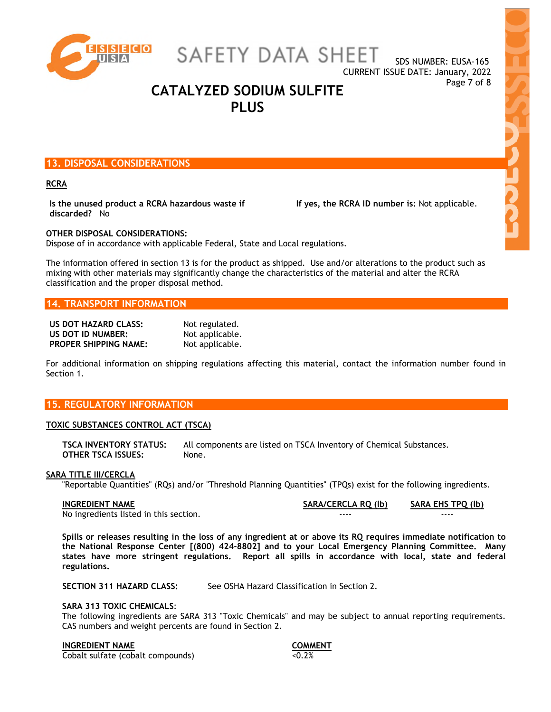

SAFETY DATA SHEET

**CARCE** 

# Page 7 of 8 **CATALYZED SODIUM SULFITE PLUS**

# **13. DISPOSAL CONSIDERATIONS**

### **RCRA**

**Is the unused product a RCRA hazardous waste if discarded?** No

 **If yes, the RCRA ID number is:** Not applicable.

# **OTHER DISPOSAL CONSIDERATIONS:**

Dispose of in accordance with applicable Federal, State and Local regulations.

The information offered in section 13 is for the product as shipped. Use and/or alterations to the product such as mixing with other materials may significantly change the characteristics of the material and alter the RCRA classification and the proper disposal method.

# **14. TRANSPORT INFORMATION**

| US DOT HAZARD CLASS:         | Not regulated.  |
|------------------------------|-----------------|
| US DOT ID NUMBER:            | Not applicable. |
| <b>PROPER SHIPPING NAME:</b> | Not applicable. |

For additional information on shipping regulations affecting this material, contact the information number found in Section 1.

# **15. REGULATORY INFORMATION**

### **TOXIC SUBSTANCES CONTROL ACT (TSCA)**

**TSCA INVENTORY STATUS:** All components are listed on TSCA Inventory of Chemical Substances. **OTHER TSCA ISSUES:** None.

## **SARA TITLE III/CERCLA**

"Reportable Quantities" (RQs) and/or "Threshold Planning Quantities" (TPQs) exist for the following ingredients.

No ingredients listed in this section. The section of the section of the section of the section of the section

**INGREDIENT NAME SARA/CERCLA RQ (lb) SARA EHS TPQ (lb)**

**Spills or releases resulting in the loss of any ingredient at or above its RQ requires immediate notification to the National Response Center [(800) 424-8802] and to your Local Emergency Planning Committee. Many states have more stringent regulations. Report all spills in accordance with local, state and federal regulations.** 

**SECTION 311 HAZARD CLASS:** See OSHA Hazard Classification in Section 2.

### **SARA 313 TOXIC CHEMICALS**:

The following ingredients are SARA 313 "Toxic Chemicals" and may be subject to annual reporting requirements. CAS numbers and weight percents are found in Section 2.

## **INGREDIENT NAME COMMENT**

Cobalt sulfate (cobalt compounds) <0.2%